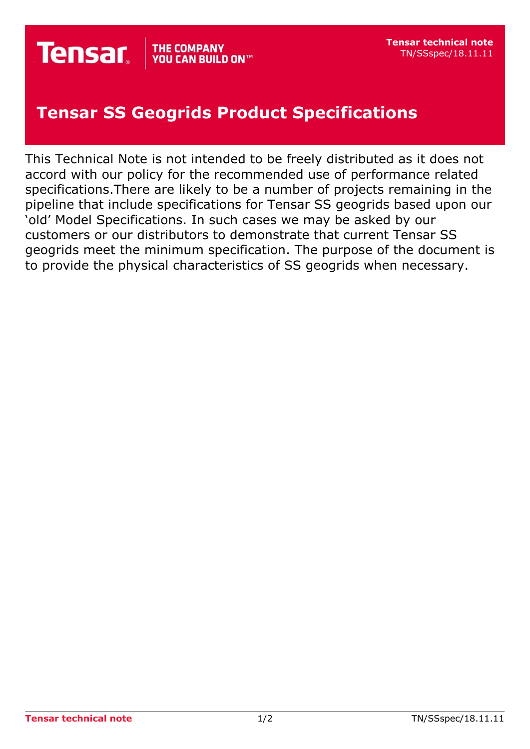## **Tensar SS Geogrids Product Specifications**

This Technical Note is not intended to be freely distributed as it does not accord with our policy for the recommended use of performance related specifications.There are likely to be a number of projects remaining in the pipeline that include specifications for Tensar SS geogrids based upon our 'old' Model Specifications. In such cases we may be asked by our customers or our distributors to demonstrate that current Tensar SS geogrids meet the minimum specification. The purpose of the document is to provide the physical characteristics of SS geogrids when necessary.